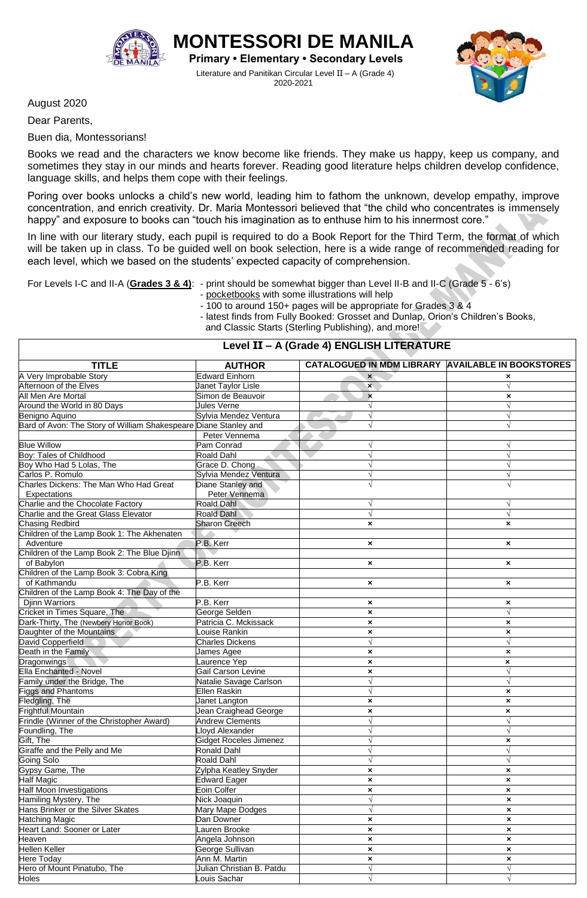

**MONTESSORI DE MANILA Primary • Elementary • Secondary Levels** Literature and Panitikan Circular Level II – A (Grade 4) 2020-2021



August 2020

Dear Parents,

Buen dia, Montessorians!

Books we read and the characters we know become like friends. They make us happy, keep us company, and sometimes they stay in our minds and hearts forever. Reading good literature helps children develop confidence, language skills, and helps them cope with their feelings.

Poring over books unlocks a child's new world, leading him to fathom the unknown, develop empathy, improve concentration, and enrich creativity. Dr. Maria Montessori believed that "the child who concentrates is immensely happy" and exposure to books can "touch his imagination as to enthuse him to his innermost core."

In line with our literary study, each pupil is required to do a Book Report for the Third Term, the format of which will be taken up in class. To be guided well on book selection, here is a wide range of recommended reading for each level, which we based on the students' expected capacity of comprehension.

- For Levels I-C and II-A (**Grades 3 & 4)**: print should be somewhat bigger than Level II-B and II-C (Grade 5 6's)
	- pocketbooks with some illustrations will help

- 100 to around 150+ pages will be appropriate for Grades 3 & 4 - latest finds from Fully Booked: Grosset and Dunlap, Orion's Children's Books, and Classic Starts (Sterling Publishing), and more!

| Level II - A (Grade 4) ENGLISH LITERATURE                        |                           |                                                   |                           |  |
|------------------------------------------------------------------|---------------------------|---------------------------------------------------|---------------------------|--|
| <b>TITLE</b>                                                     | <b>AUTHOR</b>             | CATALOGUED IN MDM LIBRARY AVAILABLE IN BOOKSTORES |                           |  |
| A Very Improbable Story                                          | <b>Edward Einhorn</b>     | $\boldsymbol{\mathsf{x}}$                         | ×                         |  |
| Afternoon of the Elves                                           | Janet Taylor Lisle        | $\mathbf{x}$                                      | $\sqrt{ }$                |  |
| All Men Are Mortal                                               | Simon de Beauvoir         | $\pmb{\times}$                                    | ×                         |  |
| Around the World in 80 Days                                      | Jules Verne               |                                                   | $\sqrt{ }$                |  |
| <b>Benigno Aquino</b>                                            | Sylvia Mendez Ventura     |                                                   |                           |  |
| Bard of Avon: The Story of William Shakespeare Diane Stanley and |                           | $\sqrt{}$                                         | $\sqrt{}$                 |  |
|                                                                  | Peter Vennema             |                                                   |                           |  |
| <b>Blue Willow</b>                                               | Pam Conrad                |                                                   |                           |  |
| <b>Boy: Tales of Childhood</b>                                   | Roald Dahl                |                                                   |                           |  |
| Boy Who Had 5 Lolas, The                                         | Grace D. Chong            |                                                   |                           |  |
| Carlos P. Romulo                                                 | Sylvia Mendez Ventura     |                                                   |                           |  |
| Charles Dickens: The Man Who Had Great                           | Diane Stanley and         |                                                   |                           |  |
| Expectations                                                     | Peter Vennema             |                                                   |                           |  |
| Charlie and the Chocolate Factory                                | Roald Dahl                | V                                                 | V                         |  |
| Charlie and the Great Glass Elevator                             | Roald Dahl                |                                                   |                           |  |
| <b>Chasing Redbird</b>                                           | <b>Sharon Creech</b>      | ×                                                 | ×                         |  |
| Children of the Lamp Book 1: The Akhenaten                       |                           |                                                   |                           |  |
| Adventure                                                        | P.B. Kerr                 | ×                                                 | $\boldsymbol{\mathsf{x}}$ |  |
| Children of the Lamp Book 2: The Blue Djinn                      |                           |                                                   |                           |  |
| of Babylon                                                       | P.B. Kerr                 | ×                                                 | ×                         |  |
| Children of the Lamp Book 3: Cobra King                          |                           |                                                   |                           |  |
| of Kathmandu                                                     | P.B. Kerr                 | ×                                                 | ×                         |  |
| Children of the Lamp Book 4: The Day of the                      |                           |                                                   |                           |  |
| <b>Djinn Warriors</b>                                            | P.B. Kerr                 | ×                                                 | ×                         |  |
| Cricket in Times Square, The                                     | George Selden             | $\pmb{\times}$                                    | $\sqrt{}$                 |  |
| Dark-Thirty, The (Newbery Honor Book)                            | Patricia C. Mckissack     | $\pmb{\times}$                                    | ×                         |  |
| Daughter of the Mountains                                        | ouise Rankin              | ×                                                 | ×                         |  |
| David Copperfield                                                | <b>Charles Dickens</b>    | $\sqrt{}$                                         | $\sqrt{}$                 |  |
| Death in the Family                                              | James Agee                | ×                                                 | ×                         |  |
| <b>Dragonwings</b>                                               | Laurence Yep              | $\pmb{\times}$                                    | $\pmb{\times}$            |  |
| Ella Enchanted - Novel                                           | Gail Carson Levine        | ×                                                 | $\sqrt{}$                 |  |
| amily under the Bridge, The                                      | Natalie Savage Carlson    | $\sqrt{}$                                         | $\sqrt{}$                 |  |
| <b>Figgs and Phantoms</b>                                        | <b>Ellen Raskin</b>       |                                                   | ×                         |  |
| Fledgling, The                                                   | Janet Langton             | ×                                                 | ×                         |  |
| Frightful Mountain                                               | Jean Craighead George     | ×                                                 | $\boldsymbol{\mathsf{x}}$ |  |
| Frindle (Winner of the Christopher Award)                        | <b>Andrew Clements</b>    |                                                   |                           |  |
| Foundling, The                                                   | loyd Alexander            |                                                   |                           |  |
| Gift, The                                                        | Gidget Roceles Jimenez    |                                                   | ×                         |  |
| Giraffe and the Pelly and Me                                     | <b>Ronald Dahl</b>        |                                                   |                           |  |
| Going Solo                                                       | <b>Roald Dahl</b>         |                                                   |                           |  |
| Gypsy Game, The                                                  | Zylpha Keatley Snyder     | $\pmb{\times}$                                    | $\pmb{\times}$            |  |
| <b>Half Magic</b>                                                | <b>Edward Eager</b>       | ×                                                 | ×                         |  |
| <b>Half Moon Investigations</b>                                  | Eoin Colfer               | $\pmb{\times}$                                    | $\boldsymbol{\mathsf{x}}$ |  |
| Hamiling Mystery, The                                            | Nick Joaquin              | $\sqrt{}$                                         | ×                         |  |
| Hans Brinker or the Silver Skates                                | Mary Mape Dodges          | $\sqrt{}$                                         | ×                         |  |
| <b>Hatching Magic</b>                                            | Dan Downer                | $\pmb{\times}$                                    | $\pmb{\times}$            |  |
| Heart Land: Sooner or Later                                      | Lauren Brooke             | $\pmb{\times}$                                    | $\pmb{\times}$            |  |
| Heaven                                                           | Angela Johnson            | ×                                                 | $\pmb{\times}$            |  |
| <b>Hellen Keller</b>                                             | George Sullivan           | $\boldsymbol{\mathsf{x}}$                         | $\boldsymbol{\mathsf{x}}$ |  |
| Here Today                                                       | Ann M. Martin             | $\pmb{\times}$                                    | ×                         |  |
| Hero of Mount Pinatubo, The                                      | Julian Christian B. Patdu | $\sqrt{}$                                         | $\sqrt{}$                 |  |
| Holes                                                            | ouis Sachar               | $\sqrt{}$                                         | $\sqrt{ }$                |  |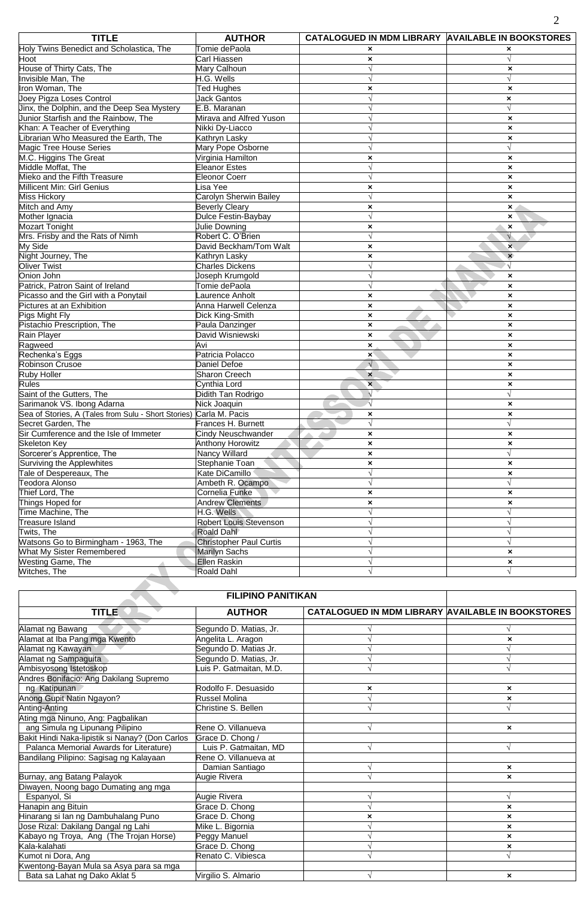| <b>TITLE</b>                                        | <b>AUTHOR</b>                  | CATALOGUED IN MDM LIBRARY AVAILABLE IN BOOKSTORES |                           |
|-----------------------------------------------------|--------------------------------|---------------------------------------------------|---------------------------|
| Holy Twins Benedict and Scholastica, The            | Tomie dePaola                  | $\boldsymbol{\mathsf{x}}$                         | ×                         |
| Hoot                                                | Carl Hiassen                   | $\boldsymbol{\mathsf{x}}$                         |                           |
| House of Thirty Cats, The                           | Mary Calhoun                   | N                                                 | ×                         |
| Invisible Man, The                                  | H.G. Wells                     |                                                   | $\sqrt{ }$                |
| Iron Woman. The                                     | <b>Ted Hughes</b>              | ×                                                 | $\pmb{\times}$            |
| Joey Pigza Loses Control                            | <b>Jack Gantos</b>             |                                                   | ×                         |
| Jinx, the Dolphin, and the Deep Sea Mystery         | E.B. Maranan                   |                                                   | $\sqrt{}$                 |
| Junior Starfish and the Rainbow, The                | Mirava and Alfred Yuson        |                                                   | $\pmb{\times}$            |
| Khan: A Teacher of Everything                       | Nikki Dy-Liacco                |                                                   | $\pmb{\times}$            |
| Librarian Who Measured the Earth, The               | Kathryn Lasky                  |                                                   | ×                         |
| Magic Tree House Series                             | Mary Pope Osborne              |                                                   | $\sqrt{}$                 |
| M.C. Higgins The Great                              | Virginia Hamilton              | ×                                                 | $\pmb{\times}$            |
| Middle Moffat, The                                  | <b>Eleanor Estes</b>           |                                                   | $\pmb{\times}$            |
| Mieko and the Fifth Treasure                        | <b>Eleonor Coerr</b>           |                                                   | $\pmb{\times}$            |
| Millicent Min: Girl Genius                          | Lisa Yee                       | $\boldsymbol{\mathsf{x}}$                         | $\pmb{\times}$            |
| <b>Miss Hickory</b>                                 | Carolyn Sherwin Bailey         |                                                   | $\pmb{\times}$            |
| Mitch and Amy                                       | <b>Beverly Cleary</b>          | ×                                                 | $\pmb{\times}$            |
| Mother Ignacia                                      | Dulce Festin-Baybay            | $\sqrt{ }$                                        | $\boldsymbol{\mathsf{x}}$ |
| <b>Mozart Tonight</b>                               | Julie Downing                  | ×                                                 | $\boldsymbol{\mathsf{x}}$ |
| Mrs. Frisby and the Rats of Nimh                    | Robert C. O'Brien              | $\sqrt{}$                                         | $\sqrt{ }$                |
| My Side                                             | David Beckham/Tom Walt         | $\boldsymbol{\mathsf{x}}$                         | $\overline{\mathbf{x}}$   |
| Night Journey, The                                  | Kathryn Lasky                  | $\boldsymbol{\mathsf{x}}$                         | $\boldsymbol{\mathsf{x}}$ |
| <b>Oliver Twist</b>                                 | <b>Charles Dickens</b>         |                                                   | $\sqrt{ }$                |
| Onion John                                          | Joseph Krumgold                |                                                   |                           |
| Patrick, Patron Saint of Ireland                    | Tomie dePaola                  | $\sqrt{}$                                         | $\pmb{\times}$            |
|                                                     | aurence Anholt                 |                                                   | $\boldsymbol{\mathsf{x}}$ |
| Picasso and the Girl with a Ponytail                | Anna Harwell Celenza           | $\boldsymbol{\mathsf{x}}$                         | $\boldsymbol{\mathsf{x}}$ |
| Pictures at an Exhibition                           |                                | $\boldsymbol{\mathsf{x}}$                         | $\pmb{\times}$            |
| Pigs Might Fly                                      | Dick King-Smith                | $\boldsymbol{\mathsf{x}}$                         | $\pmb{\times}$            |
| Pistachio Prescription, The                         | Paula Danzinger                | $\pmb{\times}$                                    | $\pmb{\times}$            |
| Rain Player                                         | David Wisniewski               | $\boldsymbol{\mathsf{x}}$                         | $\pmb{\times}$            |
| Ragweed                                             | Avi                            | $\pmb{\times}$                                    | $\pmb{\times}$            |
| Rechenka's Eggs                                     | Patricia Polacco               | $\mathbf{x}$                                      | $\boldsymbol{\mathsf{x}}$ |
| <b>Robinson Crusoe</b>                              | Daniel Defoe                   | $\sqrt{ }$                                        | $\pmb{\times}$            |
| Ruby Holler                                         | Sharon Creech                  | $\boldsymbol{\mathsf{x}}$                         | $\pmb{\times}$            |
| <b>Rules</b>                                        | Cynthia Lord                   | $\mathbf{x}$                                      | $\pmb{\times}$            |
| Saint of the Gutters, The                           | Didith Tan Rodrigo             | $\sqrt{ }$                                        | $\sqrt{ }$                |
| Sarimanok VS. Ibong Adarna                          | Nick Joaquin                   | $\sqrt{ }$                                        | $\boldsymbol{\mathsf{x}}$ |
| Sea of Stories, A (Tales from Sulu - Short Stories) | Carla M. Pacis                 | ×                                                 | ×                         |
| Secret Garden, The                                  | Frances H. Burnett             | $\sqrt{ }$                                        | $\sqrt{ }$                |
| Sir Cumference and the Isle of Immeter              | Cindy Neuschwander             | $\boldsymbol{\mathsf{x}}$                         | $\pmb{\times}$            |
| <b>Skeleton Key</b>                                 | <b>Anthony Horowitz</b>        | $\boldsymbol{\mathsf{x}}$                         | ×                         |
| Sorcerer's Apprentice, The                          | Nancy Willard                  | $\boldsymbol{\mathsf{x}}$                         | $\sqrt{ }$                |
| Surviving the Applewhites                           | Stephanie Toan                 | $\pmb{\times}$                                    | $\pmb{\times}$            |
| Tale of Despereaux, The                             | Kate DiCamillo                 | $\sqrt{ }$                                        | $\pmb{\times}$            |
| Teodora Alonso                                      | Ambeth R. Ocampo               | V                                                 | $\sqrt{}$                 |
| Thief Lord, The                                     | Cornelia Funke                 | $\boldsymbol{\mathsf{x}}$                         | ×                         |
| Things Hoped for                                    | <b>Andrew Clements</b>         | $\pmb{\times}$                                    | $\pmb{\times}$            |
| Time Machine, The                                   | H.G. Wells                     | $\sqrt{ }$                                        | $\sqrt{}$                 |
| <b>Treasure Island</b>                              | Robert Louis Stevenson         | $\sqrt{}$                                         | $\sqrt{}$                 |
| Twits, The                                          | Roald Dahl                     |                                                   | $\sqrt{}$                 |
| Watsons Go to Birmingham - 1963, The                | <b>Christopher Paul Curtis</b> |                                                   | $\sqrt{}$                 |
| What My Sister Remembered                           | <b>Marilyn Sachs</b>           |                                                   | ×                         |
| <b>Westing Game, The</b>                            | Ellen Raskin                   |                                                   | $\pmb{\times}$            |
| Witches, The                                        | Roald Dahl                     | $\sqrt{}$                                         | $\sqrt{ }$                |
|                                                     |                                |                                                   |                           |

| <b>FILIPINO PANITIKAN</b>                       |                        |                                                          |                           |
|-------------------------------------------------|------------------------|----------------------------------------------------------|---------------------------|
| <b>TITLE</b>                                    | <b>AUTHOR</b>          | <b>CATALOGUED IN MDM LIBRARY AVAILABLE IN BOOKSTORES</b> |                           |
| Alamat ng Bawang                                | Segundo D. Matias, Jr. |                                                          |                           |
| Alamat at Iba Pang mga Kwento                   | Angelita L. Aragon     |                                                          | ×                         |
| Alamat ng Kawayan                               | Segundo D. Matias Jr.  |                                                          |                           |
| Alamat ng Sampaguita                            | Segundo D. Matias, Jr. |                                                          |                           |
| Ambisyosong Istetoskop                          | uis P. Gatmaitan, M.D. |                                                          |                           |
| Andres Bonifacio: Ang Dakilang Supremo          |                        |                                                          |                           |
| ng Katipunan                                    | Rodolfo F. Desuasido   | ×                                                        | $\boldsymbol{\mathsf{x}}$ |
| Anong Gupit Natin Ngayon?                       | <b>Russel Molina</b>   |                                                          | $\boldsymbol{\mathsf{x}}$ |
| Anting-Anting                                   | Christine S. Bellen    |                                                          |                           |
| Ating mga Ninuno, Ang: Pagbalikan               |                        |                                                          |                           |
| ang Simula ng Lipunang Pilipino                 | Rene O. Villanueva     |                                                          | $\boldsymbol{\mathsf{x}}$ |
| Bakit Hindi Naka-lipistik si Nanay? (Don Carlos | Grace D. Chong /       |                                                          |                           |
| Palanca Memorial Awards for Literature)         | Luis P. Gatmaitan, MD  |                                                          |                           |
| Bandilang Pilipino: Sagisag ng Kalayaan         | Rene O. Villanueva at  |                                                          |                           |
|                                                 | Damian Santiago        |                                                          | $\boldsymbol{\mathsf{x}}$ |
| Burnay, ang Batang Palayok                      | Augie Rivera           |                                                          | $\boldsymbol{\mathsf{x}}$ |
| Diwayen, Noong bago Dumating ang mga            |                        |                                                          |                           |
| Espanyol, Si                                    | Augie Rivera           |                                                          |                           |
| Hanapin ang Bituin                              | Grace D. Chong         |                                                          | $\pmb{\times}$            |
| Hinarang si lan ng Dambuhalang Puno             | Grace D. Chong         |                                                          | $\boldsymbol{\mathsf{x}}$ |
| Jose Rizal: Dakilang Dangal ng Lahi             | Mike L. Bigornia       |                                                          | $\pmb{\times}$            |
| Kabayo ng Troya, Ang (The Trojan Horse)         | Peggy Manuel           |                                                          | $\boldsymbol{\mathsf{x}}$ |
| Kala-kalahati                                   | Grace D. Chong         |                                                          | ×                         |
| Kumot ni Dora, Ang                              | Renato C. Vibiesca     |                                                          |                           |
| Kwentong-Bayan Mula sa Asya para sa mga         |                        |                                                          |                           |
| Bata sa Lahat ng Dako Aklat 5                   | Virgilio S. Almario    |                                                          | $\boldsymbol{\mathsf{x}}$ |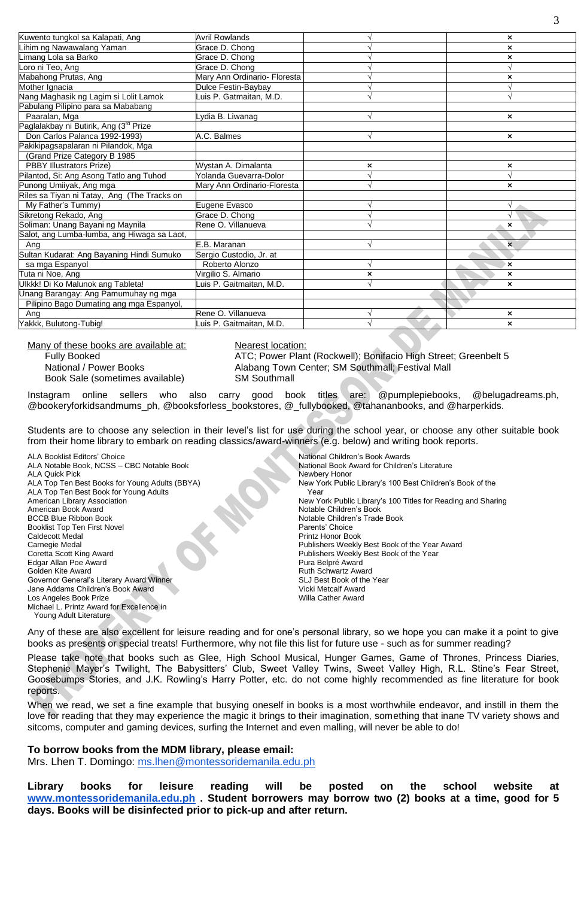| Kuwento tungkol sa Kalapati, Ang                   | <b>Avril Rowlands</b>        |                | $\boldsymbol{\mathsf{x}}$ |
|----------------------------------------------------|------------------------------|----------------|---------------------------|
| Lihim ng Nawawalang Yaman                          | Grace D. Chong               |                | ×                         |
| Limang Lola sa Barko                               | Grace D. Chong               |                | ×                         |
| Loro ni Teo, Ang                                   | Grace D. Chong               |                |                           |
| Mabahong Prutas, Ang                               | Mary Ann Ordinario- Floresta |                | ×                         |
| Mother Ignacia                                     | Dulce Festin-Baybay          |                |                           |
| Nang Maghasik ng Lagim si Lolit Lamok              | uis P. Gatmaitan, M.D.       |                |                           |
| Pabulang Pilipino para sa Mababang                 |                              |                |                           |
| Paaralan, Mga                                      | ydia B. Liwanag              |                | ×                         |
| Paglalakbay ni Butirik, Ang (3 <sup>rd</sup> Prize |                              |                |                           |
| Don Carlos Palanca 1992-1993)                      | A.C. Balmes                  |                | $\boldsymbol{\mathsf{x}}$ |
| Pakikipagsapalaran ni Pilandok, Mga                |                              |                |                           |
| (Grand Prize Category B 1985                       |                              |                |                           |
| <b>PBBY Illustrators Prize)</b>                    | Wystan A. Dimalanta          | ×              | ×                         |
| Pilantod, Si: Ang Asong Tatlo ang Tuhod            | Yolanda Guevarra-Dolor       |                | V                         |
| Punong Umiiyak, Ang mga                            | Mary Ann Ordinario-Floresta  |                | $\boldsymbol{\mathsf{x}}$ |
| Riles sa Tiyan ni Tatay, Ang (The Tracks on        |                              |                |                           |
| My Father's Tummy)                                 | Eugene Evasco                |                |                           |
| Sikretong Rekado, Ang                              | Grace D. Chong               |                |                           |
| Soliman: Unang Bayani ng Maynila                   | Rene O. Villanueva           |                | $\boldsymbol{\mathsf{x}}$ |
| Salot, ang Lumba-lumba, ang Hiwaga sa Laot,        |                              |                |                           |
| Ang                                                | E.B. Maranan                 |                | $\boldsymbol{\mathsf{x}}$ |
| Sultan Kudarat: Ang Bayaning Hindi Sumuko          | Sergio Custodio, Jr. at      |                |                           |
| sa mga Espanyol                                    | Roberto Alonzo               |                | $\mathbf{x}$              |
| Tuta ni Noe, Ang                                   | Virgilio S. Almario          | $\pmb{\times}$ | $\boldsymbol{\mathsf{x}}$ |
| Ulkkk! Di Ko Malunok ang Tableta!                  | uis P. Gaitmaitan, M.D.      |                | $\boldsymbol{\mathsf{x}}$ |
| Unang Barangay: Ang Pamumuhay ng mga               |                              |                |                           |
| Pilipino Bago Dumating ang mga Espanyol,           |                              |                |                           |
| Ang                                                | Rene O. Villanueva           |                | $\boldsymbol{\mathsf{x}}$ |
| Yakkk, Bulutong-Tubig!                             | uis P. Gaitmaitan, M.D.      |                | $\boldsymbol{\mathsf{x}}$ |
|                                                    |                              |                |                           |

Many of these books are available at: Nearest location: Book Sale (sometimes available) SM Southmall

Fully Booked ATC; Power Plant (Rockwell); Bonifacio High Street; Greenbelt 5 National / Power Books **Alabang Town Center; SM Southmall**; Festival Mall

Instagram online sellers who also carry good book titles are: @pumplepiebooks, @belugadreams.ph, @bookeryforkidsandmums\_ph, @booksforless\_bookstores, @\_fullybooked, @tahananbooks, and @harperkids.

Students are to choose any selection in their level's list for use during the school year, or choose any other suitable book from their home library to embark on reading classics/award-winners (e.g. below) and writing book reports.

ALA Booklist Editors' Choice<br>ALA Notable Book, NCSS – CBC Notable Book<br>National Book Award for Children's Literature ALA Notable Book, NCSS – CBC Notable Book ALA Quick Pick Newbery Honor<br>ALA Top Ten Best Books for Young Adults (BBYA) New York Public ALA Top Ten Best Book for Young Adults Year Year Year American Book Award Notable Children's Book<br>
BCCB Blue Ribbon Book Notable Children's Trade Booklist Top Ten First Novel **Parents' Choice**<br>Caldecott Medal Printz Honor Book Caldecott Medal Printz Honor Book<br>Carnegie Medal Publishers Weekly Carnegie Medal Publishers Weekly Best Book of the Year Award<br>Coretta Scott King Award<br>Publishers Weekly Best Book of the Year Edgar Allan Poe Award Golden Kite Award **Ruth Schwartz Award Ruth Schwartz Award** Ruth Schwartz Award Governor General's Literary Award Winner Superson SLJ Best Book of the Year Jane Addams Children's Book Award Vicki Metcalf Award Los Angeles Book Prize Michael L. Printz Award for Excellence in Young Adult Literature

New York Public Library's 100 Best Children's Book of the American Library Association New York Public Library's 100 Titles for Reading and Sharing Notable Children's Trade Book Publishers Weekly Best Book of the Year<br>Pura Belpré Award

Any of these are also excellent for leisure reading and for one's personal library, so we hope you can make it a point to give books as presents or special treats! Furthermore, why not file this list for future use - such as for summer reading?

Please take note that books such as Glee, High School Musical, Hunger Games, Game of Thrones, Princess Diaries, Stephenie Mayer's Twilight, The Babysitters' Club, Sweet Valley Twins, Sweet Valley High, R.L. Stine's Fear Street, Goosebumps Stories, and J.K. Rowling's Harry Potter, etc. do not come highly recommended as fine literature for book reports.

When we read, we set a fine example that busying oneself in books is a most worthwhile endeavor, and instill in them the love for reading that they may experience the magic it brings to their imagination, something that inane TV variety shows and sitcoms, computer and gaming devices, surfing the Internet and even malling, will never be able to do!

## **To borrow books from the MDM library, please email:**

Mrs. Lhen T. Domingo: [ms.lhen@montessoridemanila.edu.ph](mailto:ms.lhen@montessoridemanila.edu.ph)

**Library books for leisure reading will be posted on the school website at [www.montessoridemanila.edu.ph](http://www.montessoridemanila.edu.ph/) . Student borrowers may borrow two (2) books at a time, good for 5 days. Books will be disinfected prior to pick-up and after return.**